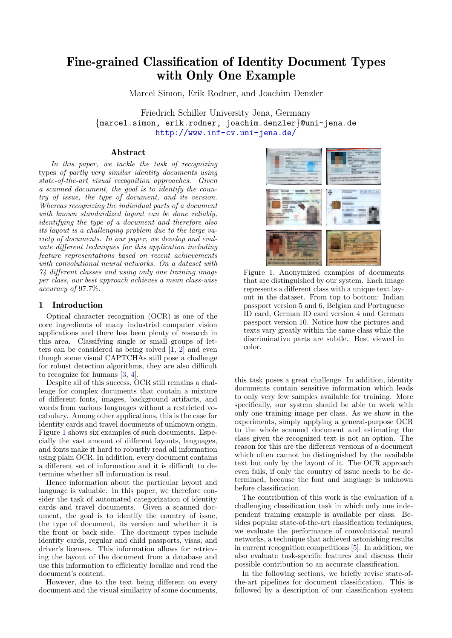# Fine-grained Classification of Identity Document Types with Only One Example

Marcel Simon, Erik Rodner, and Joachim Denzler

Friedrich Schiller University Jena, Germany {marcel.simon, erik.rodner, joachim.denzler}@uni-jena.de <http://www.inf-cv.uni-jena.de/>

#### Abstract

In this paper, we tackle the task of recognizing types of partly very similar identity documents using state-of-the-art visual recognition approaches. Given a scanned document, the goal is to identify the country of issue, the type of document, and its version. Whereas recognizing the individual parts of a document with known standardized layout can be done reliably, identifying the type of a document and therefore also its layout is a challenging problem due to the large variety of documents. In our paper, we develop and evaluate different techniques for this application including feature representations based on recent achievements with convolutional neural networks. On a dataset with 74 different classes and using only one training image per class, our best approach achieves a mean class-wise accuracy of 97.7%.

## 1 Introduction

Optical character recognition (OCR) is one of the core ingredients of many industrial computer vision applications and there has been plenty of research in this area. Classifying single or small groups of letters can be considered as being solved [\[1,](#page-3-0) [2\]](#page-3-1) and even though some visual CAPTCHAs still pose a challenge for robust detection algorithms, they are also difficult to recognize for humans [\[3,](#page-3-2) [4\]](#page-3-3).

Despite all of this success, OCR still remains a challenge for complex documents that contain a mixture of different fonts, images, background artifacts, and words from various languages without a restricted vocabulary. Among other applications, this is the case for identity cards and travel documents of unknown origin. Figure [1](#page-0-0) shows six examples of such documents. Especially the vast amount of different layouts, languages, and fonts make it hard to robustly read all information using plain OCR. In addition, every document contains a different set of information and it is difficult to determine whether all information is read.

Hence information about the particular layout and language is valuable. In this paper, we therefore consider the task of automated categorization of identity cards and travel documents. Given a scanned document, the goal is to identify the country of issue, the type of document, its version and whether it is the front or back side. The document types include identity cards, regular and child passports, visas, and driver's licenses. This information allows for retrieving the layout of the document from a database and use this information to efficiently localize and read the document's content.

However, due to the text being different on every document and the visual similarity of some documents,



<span id="page-0-0"></span>Figure 1. Anonymized examples of documents that are distinguished by our system. Each image represents a different class with a unique text layout in the dataset. From top to bottom: Indian passport version 5 and 6, Belgian and Portuguese ID card, German ID card version 4 and German passport version 10. Notice how the pictures and texts vary greatly within the same class while the discriminative parts are subtle. Best viewed in color.

this task poses a great challenge. In addition, identity documents contain sensitive information which leads to only very few samples available for training. More specifically, our system should be able to work with only one training image per class. As we show in the experiments, simply applying a general-purpose OCR to the whole scanned document and estimating the class given the recognized text is not an option. The reason for this are the different versions of a document which often cannot be distinguished by the available text but only by the layout of it. The OCR approach even fails, if only the country of issue needs to be determined, because the font and language is unknown before classification.

The contribution of this work is the evaluation of a challenging classification task in which only one independent training example is available per class. Besides popular state-of-the-art classification techniques, we evaluate the performance of convolutional neural networks, a technique that achieved astonishing results in current recognition competitions [\[5\]](#page-3-4). In addition, we also evaluate task-specific features and discuss their possible contribution to an accurate classification.

In the following sections, we briefly revise state-ofthe-art pipelines for document classification. This is followed by a description of our classification system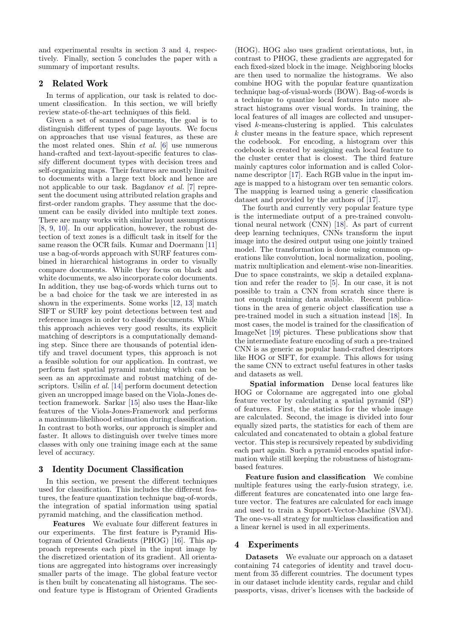and experimental results in section [3](#page-1-0) and [4,](#page-1-1) respectively. Finally, section [5](#page-3-5) concludes the paper with a summary of important results.

## 2 Related Work

In terms of application, our task is related to document classification. In this section, we will briefly review state-of-the-art techniques of this field.

Given a set of scanned documents, the goal is to distinguish different types of page layouts. We focus on approaches that use visual features, as these are the most related ones. Shin  $et$  al. [\[6\]](#page-3-6) use numerous hand-crafted and text-layout-specific features to classify different document types with decision trees and self-organizing maps. Their features are mostly limited to documents with a large text block and hence are not applicable to our task. Bagdanov et al. [\[7\]](#page-3-7) represent the document using attributed relation graphs and first-order random graphs. They assume that the document can be easily divided into multiple text zones. There are many works with similar layout assumptions [\[8,](#page-3-8) [9,](#page-3-9) [10\]](#page-3-10). In our application, however, the robust detection of text zones is a difficult task in itself for the same reason the OCR fails. Kumar and Doermann [\[11\]](#page-3-11) use a bag-of-words approach with SURF features combined in hierarchical histograms in order to visually compare documents. While they focus on black and white documents, we also incorporate color documents. In addition, they use bag-of-words which turns out to be a bad choice for the task we are interested in as shown in the experiments. Some works [\[12,](#page-3-12) [13\]](#page-3-13) match SIFT or SURF key point detections between test and reference images in order to classify documents. While this approach achieves very good results, its explicit matching of descriptors is a computationally demanding step. Since there are thousands of potential identify and travel document types, this approach is not a feasible solution for our application. In contrast, we perform fast spatial pyramid matching which can be seen as an approximate and robust matching of descriptors. Usilin et al. [\[14\]](#page-3-14) perform document detection given an uncropped image based on the Viola-Jones detection framework. Sarkar [\[15\]](#page-3-15) also uses the Haar-like features of the Viola-Jones-Framework and performs a maximum-likelihood estimation during classification. In contrast to both works, our approach is simpler and faster. It allows to distinguish over twelve times more classes with only one training image each at the same level of accuracy.

## <span id="page-1-0"></span>3 Identity Document Classification

In this section, we present the different techniques used for classification. This includes the different features, the feature quantization technique bag-of-words, the integration of spatial information using spatial pyramid matching, and the classification method.

Features We evaluate four different features in our experiments. The first feature is Pyramid Histogram of Oriented Gradients (PHOG) [\[16\]](#page-3-16). This approach represents each pixel in the input image by the discretized orientation of its gradient. All orientations are aggregated into histograms over increasingly smaller parts of the image. The global feature vector is then built by concatenating all histograms. The second feature type is Histogram of Oriented Gradients

(HOG). HOG also uses gradient orientations, but, in contrast to PHOG, these gradients are aggregated for each fixed-sized block in the image. Neighboring blocks are then used to normalize the histograms. We also combine HOG with the popular feature quantization technique bag-of-visual-words (BOW). Bag-of-words is a technique to quantize local features into more abstract histograms over visual words. In training, the local features of all images are collected and unsupervised k-means-clustering is applied. This calculates k cluster means in the feature space, which represent the codebook. For encoding, a histogram over this codebook is created by assigning each local feature to the cluster center that is closest. The third feature mainly captures color information and is called Colorname descriptor [\[17\]](#page-3-17). Each RGB value in the input image is mapped to a histogram over ten semantic colors. The mapping is learned using a generic classification dataset and provided by the authors of [\[17\]](#page-3-17).

The fourth and currently very popular feature type is the intermediate output of a pre-trained convolutional neural network (CNN) [\[18\]](#page-3-18). As part of current deep learning techniques, CNNs transform the input image into the desired output using one jointly trained model. The transformation is done using common operations like convolution, local normalization, pooling, matrix multiplication and element-wise non-linearities. Due to space constraints, we skip a detailed explanation and refer the reader to [\[5\]](#page-3-4). In our case, it is not possible to train a CNN from scratch since there is not enough training data available. Recent publications in the area of generic object classification use a pre-trained model in such a situation instead [\[18\]](#page-3-18). In most cases, the model is trained for the classification of ImageNet [\[19\]](#page-3-19) pictures. These publications show that the intermediate feature encoding of such a pre-trained CNN is as generic as popular hand-crafted descriptors like HOG or SIFT, for example. This allows for using the same CNN to extract useful features in other tasks and datasets as well.

Spatial information Dense local features like HOG or Colorname are aggregated into one global feature vector by calculating a spatial pyramid (SP) of features. First, the statistics for the whole image are calculated. Second, the image is divided into four equally sized parts, the statistics for each of them are calculated and concatenated to obtain a global feature vector. This step is recursively repeated by subdividing each part again. Such a pyramid encodes spatial information while still keeping the robustness of histogrambased features.

Feature fusion and classification We combine multiple features using the early-fusion strategy, i.e. different features are concatenated into one large feature vector. The features are calculated for each image and used to train a Support-Vector-Machine (SVM). The one-vs-all strategy for multiclass classification and a linear kernel is used in all experiments.

## <span id="page-1-1"></span>4 Experiments

Datasets We evaluate our approach on a dataset containing 74 categories of identity and travel document from 35 different countries. The document types in our dataset include identity cards, regular and child passports, visas, driver's licenses with the backside of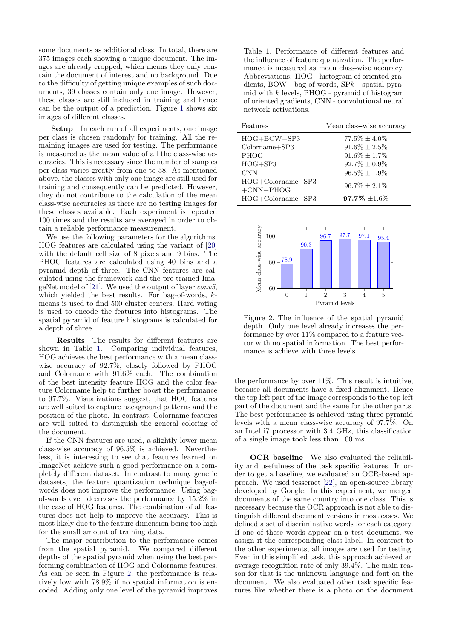some documents as additional class. In total, there are 375 images each showing a unique document. The images are already cropped, which means they only contain the document of interest and no background. Due to the difficulty of getting unique examples of such documents, 39 classes contain only one image. However, these classes are still included in training and hence can be the output of a prediction. Figure [1](#page-0-0) shows six images of different classes.

Setup In each run of all experiments, one image per class is chosen randomly for training. All the remaining images are used for testing. The performance is measured as the mean value of all the class-wise accuracies. This is necessary since the number of samples per class varies greatly from one to 58. As mentioned above, the classes with only one image are still used for training and consequently can be predicted. However, they do not contribute to the calculation of the mean class-wise accuracies as there are no testing images for these classes available. Each experiment is repeated 100 times and the results are averaged in order to obtain a reliable performance measurement.

We use the following parameters for the algorithms. HOG features are calculated using the variant of [\[20\]](#page-3-20) with the default cell size of 8 pixels and 9 bins. The PHOG features are calculated using 40 bins and a pyramid depth of three. The CNN features are calculated using the framework and the pre-trained ImageNet model of [\[21\]](#page-3-21). We used the output of layer conv5, which yielded the best results. For bag-of-words,  $k$ means is used to find 500 cluster centers. Hard voting is used to encode the features into histograms. The spatial pyramid of feature histograms is calculated for a depth of three.

Results The results for different features are shown in Table [1.](#page-2-0) Comparing individual features, HOG achieves the best performance with a mean classwise accuracy of 92.7%, closely followed by PHOG and Colorname with 91.6% each. The combination of the best intensity feature HOG and the color feature Colorname help to further boost the performance to 97.7%. Visualizations suggest, that HOG features are well suited to capture background patterns and the position of the photo. In contrast, Colorname features are well suited to distinguish the general coloring of the document.

If the CNN features are used, a slightly lower mean class-wise accuracy of 96.5% is achieved. Nevertheless, it is interesting to see that features learned on ImageNet achieve such a good performance on a completely different dataset. In contrast to many generic datasets, the feature quantization technique bag-ofwords does not improve the performance. Using bagof-words even decreases the performance by 15.2% in the case of HOG features. The combination of all features does not help to improve the accuracy. This is most likely due to the feature dimension being too high for the small amount of training data.

The major contribution to the performance comes from the spatial pyramid. We compared different depths of the spatial pyramid when using the best performing combination of HOG and Colorname features. As can be seen in Figure [2,](#page-2-1) the performance is relatively low with 78.9% if no spatial information is encoded. Adding only one level of the pyramid improves

<span id="page-2-0"></span>Table 1. Performance of different features and the influence of feature quantization. The performance is measured as mean class-wise accuracy. Abbreviations: HOG - histogram of oriented gradients, BOW - bag-of-words, SPk - spatial pyramid with  $k$  levels, PHOG - pyramid of histogram of oriented gradients, CNN - convolutional neural network activations.

| Features                           | Mean class-wise accuracy |
|------------------------------------|--------------------------|
| HOG+BOW+SP3                        | $77.5\% \pm 4.0\%$       |
| $Colorname + SP3$                  | $91.6\% \pm 2.5\%$       |
| <b>PHOG</b>                        | $91.6\% \pm 1.7\%$       |
| $HOG + SP3$                        | $92.7\% \pm 0.9\%$       |
| <b>CNN</b>                         | $96.5\% \pm 1.9\%$       |
| $HOG+Colorname+SP3$<br>$+CNN+PHOG$ | $96.7\% + 2.1\%$         |
| $HOG+Colorname+SP3$                | $97.7\%$ $\pm 1.6\%$     |



<span id="page-2-1"></span>Figure 2. The influence of the spatial pyramid depth. Only one level already increases the performance by over  $11\%$  compared to a feature vector with no spatial information. The best performance is achieve with three levels.

the performance by over 11%. This result is intuitive, because all documents have a fixed alignment. Hence the top left part of the image corresponds to the top left part of the document and the same for the other parts. The best performance is achieved using three pyramid levels with a mean class-wise accuracy of 97.7%. On an Intel i7 processor with 3.4 GHz, this classification of a single image took less than 100 ms.

OCR baseline We also evaluated the reliability and usefulness of the task specific features. In order to get a baseline, we evaluated an OCR-based approach. We used tesseract [\[22\]](#page-3-22), an open-source library developed by Google. In this experiment, we merged documents of the same country into one class. This is necessary because the OCR approach is not able to distinguish different document versions in most cases. We defined a set of discriminative words for each category. If one of these words appear on a test document, we assign it the corresponding class label. In contrast to the other experiments, all images are used for testing. Even in this simplified task, this approach achieved an average recognition rate of only 39.4%. The main reason for that is the unknown language and font on the document. We also evaluated other task specific features like whether there is a photo on the document